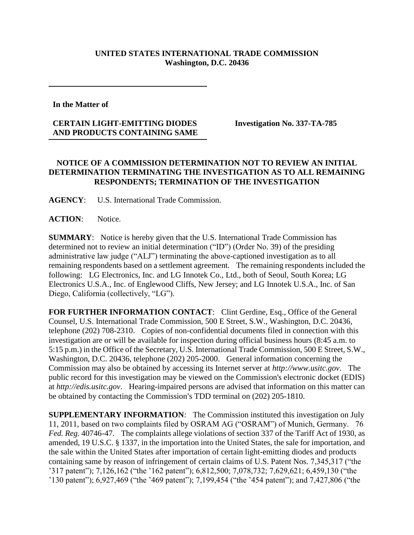## **UNITED STATES INTERNATIONAL TRADE COMMISSION Washington, D.C. 20436**

**In the Matter of** 

## **CERTAIN LIGHT-EMITTING DIODES AND PRODUCTS CONTAINING SAME**

**Investigation No. 337-TA-785**

## **NOTICE OF A COMMISSION DETERMINATION NOT TO REVIEW AN INITIAL DETERMINATION TERMINATING THE INVESTIGATION AS TO ALL REMAINING RESPONDENTS; TERMINATION OF THE INVESTIGATION**

**AGENCY**: U.S. International Trade Commission.

**ACTION**: Notice.

**SUMMARY**: Notice is hereby given that the U.S. International Trade Commission has determined not to review an initial determination ("ID") (Order No. 39) of the presiding administrative law judge ("ALJ") terminating the above-captioned investigation as to all remaining respondents based on a settlement agreement. The remaining respondents included the following: LG Electronics, Inc. and LG Innotek Co., Ltd., both of Seoul, South Korea; LG Electronics U.S.A., Inc. of Englewood Cliffs, New Jersey; and LG Innotek U.S.A., Inc. of San Diego, California (collectively, "LG").

FOR FURTHER INFORMATION CONTACT: Clint Gerdine, Esq., Office of the General Counsel, U.S. International Trade Commission, 500 E Street, S.W., Washington, D.C. 20436, telephone (202) 708-2310. Copies of non-confidential documents filed in connection with this investigation are or will be available for inspection during official business hours (8:45 a.m. to 5:15 p.m.) in the Office of the Secretary, U.S. International Trade Commission, 500 E Street, S.W., Washington, D.C. 20436, telephone (202) 205-2000. General information concerning the Commission may also be obtained by accessing its Internet server at *http://www.usitc.gov*. The public record for this investigation may be viewed on the Commission's electronic docket (EDIS) at *http://edis.usitc.gov*. Hearing-impaired persons are advised that information on this matter can be obtained by contacting the Commission's TDD terminal on (202) 205-1810.

**SUPPLEMENTARY INFORMATION**: The Commission instituted this investigation on July 11, 2011, based on two complaints filed by OSRAM AG ("OSRAM") of Munich, Germany. 76 *Fed. Reg.* 40746-47. The complaints allege violations of section 337 of the Tariff Act of 1930, as amended, 19 U.S.C. § 1337, in the importation into the United States, the sale for importation, and the sale within the United States after importation of certain light-emitting diodes and products containing same by reason of infringement of certain claims of U.S. Patent Nos. 7,345,317 ("the '317 patent"); 7,126,162 ("the '162 patent"); 6,812,500; 7,078,732; 7,629,621; 6,459,130 ("the '130 patent"); 6,927,469 ("the '469 patent"); 7,199,454 ("the '454 patent"); and 7,427,806 ("the